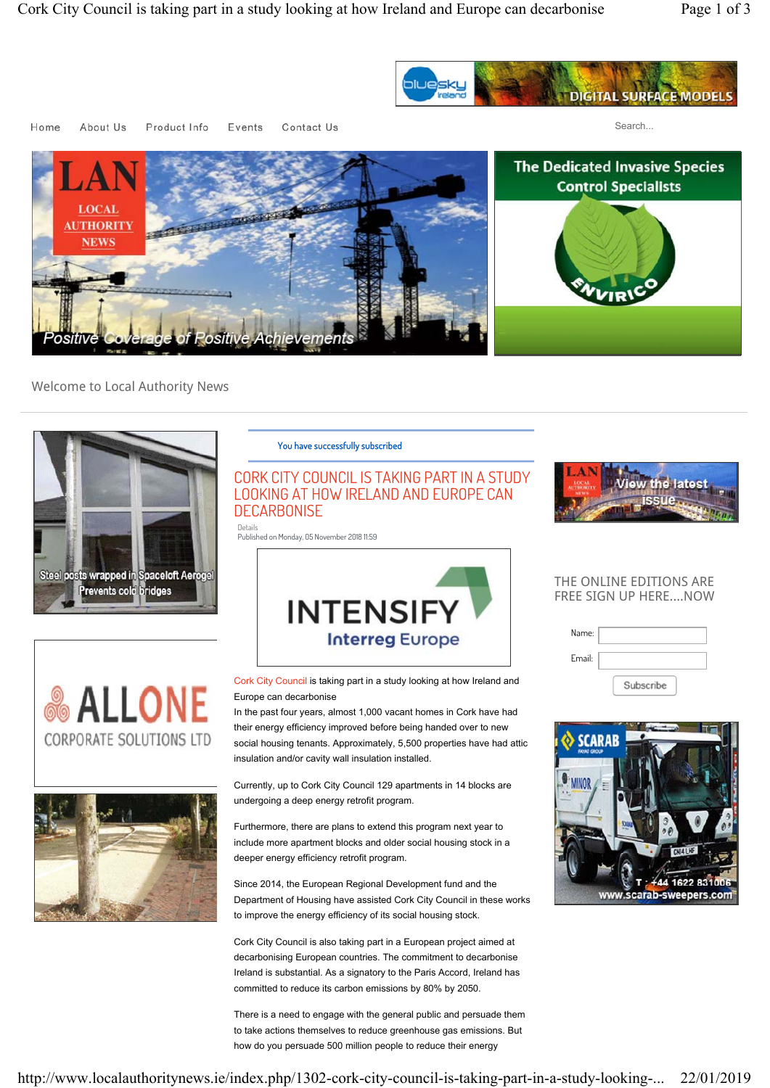

About Us Contact Us Home Product Info Events

Search...



Welcome to Local Authority News



#### You have successfully subscribed

## CORK CITY COUNCIL IS TAKING PART IN A STUDY LOOKING AT HOW IRELAND AND EUROPE CAN **DECARBONISE**

Details Published on Monday, 05 November 2018 11:59







Cork City Council is taking part in a study looking at how Ireland and Europe can decarbonise

In the past four years, almost 1,000 vacant homes in Cork have had their energy efficiency improved before being handed over to new social housing tenants. Approximately, 5,500 properties have had attic insulation and/or cavity wall insulation installed.

Currently, up to Cork City Council 129 apartments in 14 blocks are undergoing a deep energy retrofit program.

Furthermore, there are plans to extend this program next year to include more apartment blocks and older social housing stock in a deeper energy efficiency retrofit program.

Since 2014, the European Regional Development fund and the Department of Housing have assisted Cork City Council in these works to improve the energy efficiency of its social housing stock.

Cork City Council is also taking part in a European project aimed at decarbonising European countries. The commitment to decarbonise Ireland is substantial. As a signatory to the Paris Accord, Ireland has committed to reduce its carbon emissions by 80% by 2050.

There is a need to engage with the general public and persuade them to take actions themselves to reduce greenhouse gas emissions. But how do you persuade 500 million people to reduce their energy



### THE ONLINE EDITIONS ARE FREE SIGN UP HERE....NOW

| Name:  |           |
|--------|-----------|
|        |           |
| Email: |           |
|        |           |
|        |           |
|        | Subscribe |

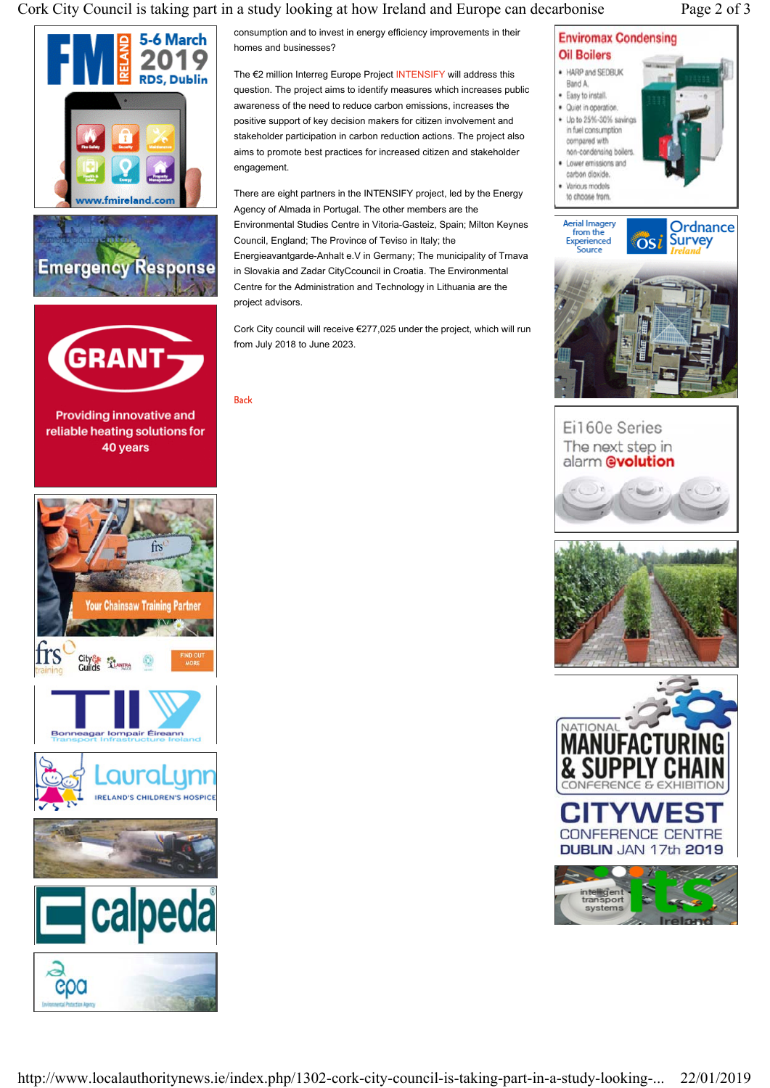## Cork City Council is taking part in a study looking at how Ireland and Europe can decarbonise Page 2 of 3







Providing innovative and reliable heating solutions for 40 years



consumption and to invest in energy efficiency improvements in their homes and businesses?

The €2 million Interreg Europe Project INTENSIFY will address this question. The project aims to identify measures which increases public awareness of the need to reduce carbon emissions, increases the positive support of key decision makers for citizen involvement and stakeholder participation in carbon reduction actions. The project also aims to promote best practices for increased citizen and stakeholder engagement.

There are eight partners in the INTENSIFY project, led by the Energy Agency of Almada in Portugal. The other members are the Environmental Studies Centre in Vitoria-Gasteiz, Spain; Milton Keynes Council, England; The Province of Teviso in Italy; the Energieavantgarde-Anhalt e.V in Germany; The municipality of Trnava in Slovakia and Zadar CityCcouncil in Croatia. The Environmental Centre for the Administration and Technology in Lithuania are the project advisors.

Cork City council will receive €277,025 under the project, which will run from July 2018 to June 2023.

Back

# **Enviromax Condensing**





Ei160e Series The next step in alarm @volution







Ordnance